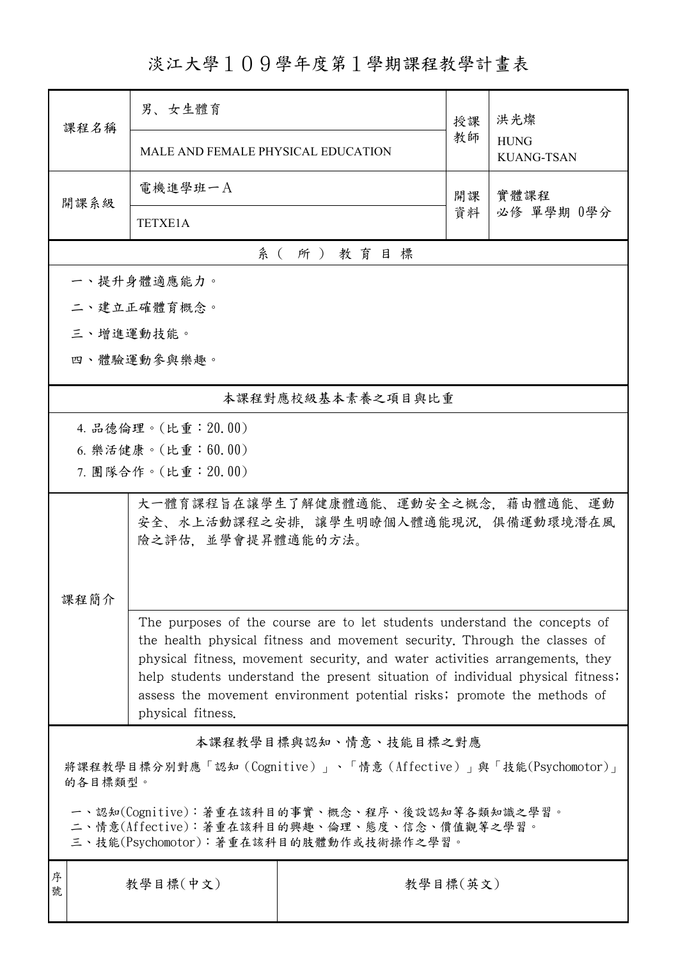## 淡江大學109學年度第1學期課程教學計畫表

| 課程名稱                                                                                                                                                                                                                                                                                                                                                                                                                             | 男、女生體育                                                                                          |                   | 授課 | 洪光燦<br><b>HUNG</b><br><b>KUANG-TSAN</b> |  |  |  |
|----------------------------------------------------------------------------------------------------------------------------------------------------------------------------------------------------------------------------------------------------------------------------------------------------------------------------------------------------------------------------------------------------------------------------------|-------------------------------------------------------------------------------------------------|-------------------|----|-----------------------------------------|--|--|--|
|                                                                                                                                                                                                                                                                                                                                                                                                                                  | MALE AND FEMALE PHYSICAL EDUCATION                                                              |                   | 教師 |                                         |  |  |  |
| 開課系級                                                                                                                                                                                                                                                                                                                                                                                                                             | 電機進學班一A                                                                                         |                   | 開課 | 實體課程<br>必修 單學期 0學分                      |  |  |  |
|                                                                                                                                                                                                                                                                                                                                                                                                                                  | <b>TETXE1A</b>                                                                                  |                   | 資料 |                                         |  |  |  |
|                                                                                                                                                                                                                                                                                                                                                                                                                                  |                                                                                                 | 系(所)教育目標          |    |                                         |  |  |  |
|                                                                                                                                                                                                                                                                                                                                                                                                                                  | 一、提升身體適應能力。                                                                                     |                   |    |                                         |  |  |  |
|                                                                                                                                                                                                                                                                                                                                                                                                                                  | 二、建立正確體育概念。                                                                                     |                   |    |                                         |  |  |  |
|                                                                                                                                                                                                                                                                                                                                                                                                                                  | 三、增進運動技能。                                                                                       |                   |    |                                         |  |  |  |
|                                                                                                                                                                                                                                                                                                                                                                                                                                  | 四、體驗運動參與樂趣。                                                                                     |                   |    |                                         |  |  |  |
|                                                                                                                                                                                                                                                                                                                                                                                                                                  |                                                                                                 | 本課程對應校級基本素養之項目與比重 |    |                                         |  |  |  |
|                                                                                                                                                                                                                                                                                                                                                                                                                                  | 4. 品德倫理。(比重: 20.00)                                                                             |                   |    |                                         |  |  |  |
|                                                                                                                                                                                                                                                                                                                                                                                                                                  | 6. 樂活健康。(比重: 60.00)                                                                             |                   |    |                                         |  |  |  |
|                                                                                                                                                                                                                                                                                                                                                                                                                                  | 7. 團隊合作。(比重:20.00)                                                                              |                   |    |                                         |  |  |  |
|                                                                                                                                                                                                                                                                                                                                                                                                                                  | 大一體育課程旨在讓學生了解健康體適能、運動安全之概念,藉由體適能、運動<br>安全、水上活動課程之安排,讓學生明瞭個人體適能現況,俱備運動環境潛在風<br>險之評估,並學會提昇體適能的方法。 |                   |    |                                         |  |  |  |
| 課程簡介<br>The purposes of the course are to let students understand the concepts of<br>the health physical fitness and movement security. Through the classes of<br>physical fitness, movement security, and water activities arrangements, they<br>help students understand the present situation of individual physical fitness;<br>assess the movement environment potential risks; promote the methods of<br>physical fitness. |                                                                                                 |                   |    |                                         |  |  |  |
| 本課程教學目標與認知、情意、技能目標之對應                                                                                                                                                                                                                                                                                                                                                                                                            |                                                                                                 |                   |    |                                         |  |  |  |
| 將課程教學目標分別對應「認知 (Cognitive)」、「情意 (Affective)」與「技能(Psychomotor)」<br>的各目標類型。                                                                                                                                                                                                                                                                                                                                                        |                                                                                                 |                   |    |                                         |  |  |  |
| 一、認知(Cognitive):著重在該科目的事實、概念、程序、後設認知等各類知識之學習。<br>二、情意(Affective):著重在該科目的興趣、倫理、態度、信念、價值觀等之學習。<br>三、技能(Psychomotor):著重在該科目的肢體動作或技術操作之學習。                                                                                                                                                                                                                                                                                           |                                                                                                 |                   |    |                                         |  |  |  |
| 序<br>號                                                                                                                                                                                                                                                                                                                                                                                                                           | 教學目標(中文)<br>教學目標(英文)                                                                            |                   |    |                                         |  |  |  |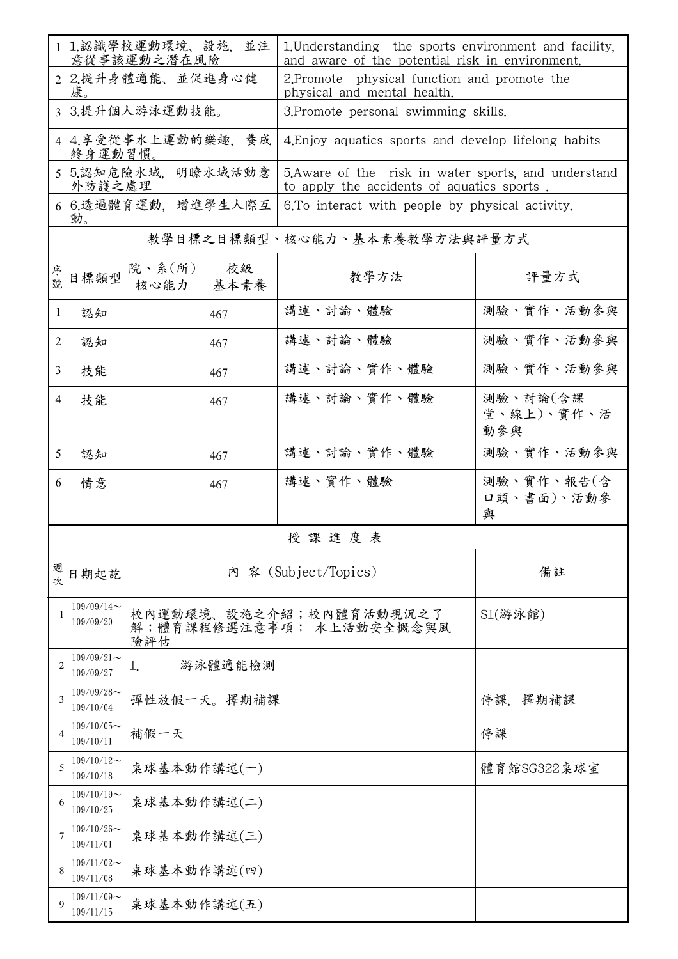|                | 1 1.認識學校運動環境、設施,並注<br>意從事該運動之潛在風險 |                                                            |             | 1. Understanding the sports environment and facility,<br>and aware of the potential risk in environment. |                               |  |  |  |  |
|----------------|-----------------------------------|------------------------------------------------------------|-------------|----------------------------------------------------------------------------------------------------------|-------------------------------|--|--|--|--|
|                | 2 2.提升身體適能、並促進身心健<br>康。           |                                                            |             | 2. Promote physical function and promote the<br>physical and mental health.                              |                               |  |  |  |  |
|                | 3 3.提升個人游泳運動技能。                   |                                                            |             | 3. Promote personal swimming skills.                                                                     |                               |  |  |  |  |
|                | 4 4.享受從事水上運動的樂趣,養成<br>終身運動習慣。     |                                                            |             | 4. Enjoy aquatics sports and develop lifelong habits                                                     |                               |  |  |  |  |
| 5              | 5.認知危險水域, 明瞭水域活動意<br>外防護之處理       |                                                            |             | 5. Aware of the risk in water sports, and understand<br>to apply the accidents of aquatics sports.       |                               |  |  |  |  |
|                | 6 6.透過體育運動,增進學生人際互<br>動。          |                                                            |             | 6. To interact with people by physical activity.                                                         |                               |  |  |  |  |
|                | 教學目標之目標類型、核心能力、基本素養教學方法與評量方式      |                                                            |             |                                                                                                          |                               |  |  |  |  |
| 序號             | 目標類型                              | 院、系(所)<br>核心能力                                             | 校級<br>基本素養  | 教學方法                                                                                                     | 評量方式                          |  |  |  |  |
| 1              | 認知                                |                                                            | 467         | 講述、討論、體驗                                                                                                 | 測驗、實作、活動參與                    |  |  |  |  |
| 2              | 認知                                |                                                            | 467         | 講述、討論、體驗                                                                                                 | 測驗、實作、活動參與                    |  |  |  |  |
| 3              | 技能                                |                                                            | 467         | 講述、討論、實作、體驗                                                                                              | 測驗、實作、活動參與                    |  |  |  |  |
| $\overline{4}$ | 技能                                |                                                            | 467         | 講述、討論、實作、體驗                                                                                              | 測驗、討論(含課<br>堂、線上)、實作、活<br>動參與 |  |  |  |  |
| 5              | 認知                                |                                                            | 467         | 講述、討論、實作、體驗                                                                                              | 測驗、實作、活動參與                    |  |  |  |  |
| 6              | 情意                                |                                                            | 467         | 講述、實作、體驗                                                                                                 | 測驗、實作、報告(含<br>口頭、書面)、活動參<br>與 |  |  |  |  |
|                |                                   |                                                            |             | 授課進度表                                                                                                    |                               |  |  |  |  |
| 週次             | 日期起訖                              | 內 容 (Subject/Topics)                                       |             |                                                                                                          | 備註                            |  |  |  |  |
| 1              | $109/09/14$ ~<br>109/09/20        | 校內運動環境、設施之介紹;校內體育活動現況之了<br>解;體育課程修選注意事項; 水上活動安全概念與風<br>險評估 |             |                                                                                                          | S1(游泳館)                       |  |  |  |  |
|                | $109/09/21$ ~<br>109/09/27        | 1.                                                         | 游泳體適能檢測     |                                                                                                          |                               |  |  |  |  |
| 3              | $109/09/28$ ~<br>109/10/04        |                                                            | 彈性放假一天。擇期補課 | 停課,擇期補課                                                                                                  |                               |  |  |  |  |
| 4              | $109/10/05$ ~<br>109/10/11        | 補假一天                                                       |             | 停課                                                                                                       |                               |  |  |  |  |
| 5              | $109/10/12$ ~<br>109/10/18        | 桌球基本動作講述(一)                                                | 體育館SG322桌球室 |                                                                                                          |                               |  |  |  |  |
| 6              | $109/10/19$ ~<br>109/10/25        | 桌球基本動作講述(二)                                                |             |                                                                                                          |                               |  |  |  |  |
|                | $109/10/26$ ~<br>109/11/01        | 桌球基本動作講述(三)                                                |             |                                                                                                          |                               |  |  |  |  |
|                | $109/11/02$ ~<br>109/11/08        | 桌球基本動作講述(四)                                                |             |                                                                                                          |                               |  |  |  |  |
| 9              | $109/11/09$ ~<br>109/11/15        | 桌球基本動作講述(五)                                                |             |                                                                                                          |                               |  |  |  |  |